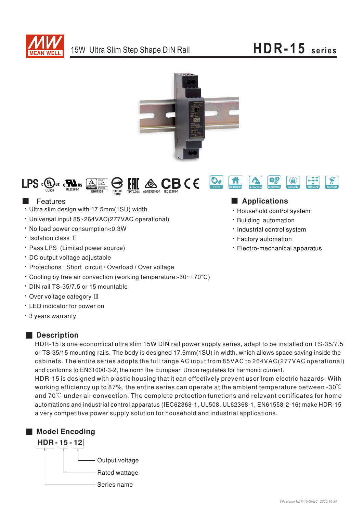

# HDR-15 series





## **Exercise Exercise** Features

- · Ultra slim design with 17.5mm(1SU) width
- Universal input 85~264VAC(277VAC operational)
- . No load power consumption<0.3W
- · Isolation class II
- · Pass LPS (Limited power source)
- · DC output voltage adjustable
- Protections : Short circuit / Overload / Over voltage
- \* Cooling by free air convection (working temperature:-30~+70°C)
- \* DIN rail TS-35/7.5 or 15 mountable
- Over voltage category III
- LED indicator for power on
- \* 3 years warranty

### Description

HDR-15 is one economical ultra slim 15W DIN rail power supply series, adapt to be installed on TS-35/7.5 or TS-35/15 mounting rails. The body is designed 17.5mm(1SU) in width, which allows space saving inside the cabinets. The entire series adopts the full range AC input from 85VAC to 264VAC(277VAC operational) and conforms to EN61000-3-2, the norm the European Union regulates for harmonic current.

HDR-15 is designed with plastic housing that it can effectively prevent user from electric hazards. With working efficiency up to 87%, the entire series can operate at the ambient temperature between -30 $\degree$ C and  $70^{\circ}$ C under air convection. The complete protection functions and relevant certificates for home automations and industrial control apparatus (IEC62368-1, UL508, UL62368-1, EN61558-2-16) make HDR-15 a very competitive power supply solution for household and industrial applications.



### Applications

- · Household control system
- · Building automation
- · Industrial control system
- · Factory automation
- Electro-mechanical apparatus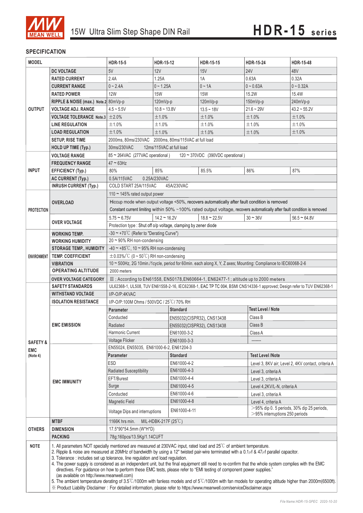

#### **SPECIFICATION**

| <b>24V</b><br><b>DC VOLTAGE</b><br>5V<br>12V<br>15V<br>48V<br><b>RATED CURRENT</b><br>2.4A<br>0.32A<br>1.25A<br>1A<br>0.63A<br>$0 - 2.4A$<br>$0 - 1.25A$<br>$0 \sim 1A$<br>$0 - 0.63A$<br>$0 - 0.32A$<br><b>CURRENT RANGE</b><br><b>12W</b><br>15.4W<br><b>RATED POWER</b><br><b>15W</b><br><b>15W</b><br>15.2W<br>RIPPLE & NOISE (max.) Note.2 80mVp-p<br>$120mVp-p$<br>120mVp-p<br>$150mVp-p$<br>240mVp-p<br>$21.6 - 29V$<br><b>OUTPUT</b><br><b>VOLTAGE ADJ. RANGE</b><br>$4.5 - 5.5V$<br>$10.8 - 13.8V$<br>$43.2 \sim 55.2V$<br>$13.5 - 18V$<br>±2.0%<br>±1.0%<br>±1.0%<br><b>VOLTAGE TOLERANCE Note.3</b><br>±1.0%<br>±1.0%<br>±1.0%<br><b>LINE REGULATION</b><br>±1.0%<br>±1.0%<br>±1.0%<br>±1.0%<br>±1.0%<br>±1.0%<br>±1.0%<br>±1.0%<br>±1.0%<br><b>LOAD REGULATION</b><br>2000ms, 80ms/230VAC 2000ms, 80ms/115VAC at full load<br><b>SETUP, RISE TIME</b><br>12ms/115VAC at full load<br>HOLD UP TIME (Typ.)<br>30ms/230VAC<br><b>VOLTAGE RANGE</b><br>85 ~ 264VAC (277VAC operational)<br>120 ~ 370VDC (390VDC operational)<br>$47 \approx 63$ Hz<br><b>FREQUENCY RANGE</b><br><b>INPUT</b><br>85%<br>87%<br>80%<br>85.5%<br>86%<br><b>EFFICIENCY (Typ.)</b><br>AC CURRENT (Typ.)<br>0.5A/115VAC<br>0.25A/230VAC<br><b>INRUSH CURRENT (Typ.)</b><br>COLD START 25A/115VAC<br>45A/230VAC<br>110 ~ 145% rated output power<br>Hiccup mode when output voltage <50%, recovers automatically after fault condition is removed<br><b>OVERLOAD</b><br>Constant current limiting within 50% ~100% rated output voltage, recovers automatically after fault condition is removed<br><b>PROTECTION</b><br>$5.75 \approx 6.75V$<br>$14.2 \approx 16.2V$<br>$18.8 \approx 22.5V$<br>$30 - 36V$<br>$56.5 \approx 64.8V$<br><b>OVER VOLTAGE</b><br>Protection type : Shut off o/p voltage, clamping by zener diode<br>-30 $\sim$ +70°C (Refer to "Derating Curve")<br><b>WORKING TEMP.</b><br>20~90% RH non-condensing<br><b>WORKING HUMIDITY</b><br>$-40 \sim +85^{\circ}$ C, 10 ~ 95% RH non-condensing<br><b>STORAGE TEMP., HUMIDITY</b><br><b>TEMP. COEFFICIENT</b><br>$\pm$ 0.03%/°C (0 ~ 50°C) RH non-condensing<br><b>ENVIRONMENT</b><br>10 ~ 500Hz, 2G 10min./1cycle, period for 60min. each along X, Y, Z axes; Mounting: Compliance to IEC60068-2-6<br><b>VIBRATION</b><br><b>OPERATING ALTITUDE</b><br>2000 meters<br><b>OVER VOLTAGE CATEGORY</b><br>III; According to EN61558, EN50178, EN60664-1, EN62477-1; altitude up to 2000 meters<br><b>SAFETY STANDARDS</b><br>I/P-O/P:4KVAC<br><b>WITHSTAND VOLTAGE</b><br><b>ISOLATION RESISTANCE</b><br>I/P-O/P:100M Ohms / 500VDC / 25°C/70% RH<br><b>Test Level / Note</b><br><b>Standard</b><br>Parameter<br>Conducted<br>Class B<br>EN55032(CISPR32), CNS13438<br><b>EMC EMISSION</b><br>Class B<br>Radiated<br>EN55032(CISPR32), CNS13438<br>EN61000-3-2<br>Harmonic Current<br>Class A<br>Voltage Flicker<br>EN61000-3-3<br><b>SAFETY &amp;</b><br>EN55024, EN55035, EN61000-6-2, EN61204-3<br><b>EMC</b><br><b>Test Level /Note</b><br>Parameter<br><b>Standard</b><br>(Note 4)<br>ESD<br>EN61000-4-2<br>Level 3, 8KV air; Level 2, 4KV contact, criteria A<br>EN61000-4-3<br>Radiated Susceptibility<br>Level 3, criteria A<br>EN61000-4-4<br>EFT/Burest<br>Level 3, criteria A<br><b>EMC IMMUNITY</b><br>Surge<br>EN61000-4-5<br>Level 4,2KV/L-N, criteria A<br>EN61000-4-6<br>Conducted<br>Level 3, criteria A<br>EN61000-4-8<br><b>Magnetic Field</b><br>Level 4, criteria A<br>$>$ 95% dip 0. 5 periods, 30% dip 25 periods,<br>EN61000-4-11<br>Voltage Dips and interruptions<br>$>$ 95% interruptions 250 periods<br><b>MTBF</b><br>MIL-HDBK-217F (25 $\degree$ C)<br>1166K hrs min.<br>17.5*90*54.5mm (W*H*D)<br><b>OTHERS</b><br><b>DIMENSION</b><br><b>PACKING</b><br>78g;160pcs/13.5Kg/1.14CUFT<br><b>NOTE</b><br>1. All parameters NOT specially mentioned are measured at 230VAC input, rated load and 25°C of ambient temperature.<br>2. Ripple & noise are measured at 20MHz of bandwidth by using a 12" twisted pair-wire terminated with a 0.1µf & 47µf parallel capacitor.<br>3. Tolerance : includes set up tolerance, line regulation and load regulation.<br>4. The power supply is considered as an independent unit, but the final equipment still need to re-confirm that the whole system complies with the EMC<br>directives. For guidance on how to perform these EMC tests, please refer to "EMI testing of component power supplies." | <b>MODEL</b> |  | <b>HDR-15-5</b>                                                                                                        | HDR-15-12 | HDR-15-15 | <b>HDR-15-24</b> | <b>HDR-15-48</b> |  |
|-------------------------------------------------------------------------------------------------------------------------------------------------------------------------------------------------------------------------------------------------------------------------------------------------------------------------------------------------------------------------------------------------------------------------------------------------------------------------------------------------------------------------------------------------------------------------------------------------------------------------------------------------------------------------------------------------------------------------------------------------------------------------------------------------------------------------------------------------------------------------------------------------------------------------------------------------------------------------------------------------------------------------------------------------------------------------------------------------------------------------------------------------------------------------------------------------------------------------------------------------------------------------------------------------------------------------------------------------------------------------------------------------------------------------------------------------------------------------------------------------------------------------------------------------------------------------------------------------------------------------------------------------------------------------------------------------------------------------------------------------------------------------------------------------------------------------------------------------------------------------------------------------------------------------------------------------------------------------------------------------------------------------------------------------------------------------------------------------------------------------------------------------------------------------------------------------------------------------------------------------------------------------------------------------------------------------------------------------------------------------------------------------------------------------------------------------------------------------------------------------------------------------------------------------------------------------------------------------------------------------------------------------------------------------------------------------------------------------------------------------------------------------------------------------------------------------------------------------------------------------------------------------------------------------------------------------------------------------------------------------------------------------------------------------------------------------------------------------------------------------------------------------------------------------------------------------------------------------------------------------------------------------------------------------------------------------------------------------------------------------------------------------------------------------------------------------------------------------------------------------------------------------------------------------------------------------------------------------------------------------------------------------------------------------------------------------------------------------------------------------------------------------------------------------------------------------------------------------------------------------------------------------------------------------------------------------------------------------------------------------------------------------------------------------------------------------------------------------------------------------------------------------------------------------------------------------------------------------------------------------------------------------------------------------------------------------------------------------------------------------------------------------------------------------------|--------------|--|------------------------------------------------------------------------------------------------------------------------|-----------|-----------|------------------|------------------|--|
|                                                                                                                                                                                                                                                                                                                                                                                                                                                                                                                                                                                                                                                                                                                                                                                                                                                                                                                                                                                                                                                                                                                                                                                                                                                                                                                                                                                                                                                                                                                                                                                                                                                                                                                                                                                                                                                                                                                                                                                                                                                                                                                                                                                                                                                                                                                                                                                                                                                                                                                                                                                                                                                                                                                                                                                                                                                                                                                                                                                                                                                                                                                                                                                                                                                                                                                                                                                                                                                                                                                                                                                                                                                                                                                                                                                                                                                                                                                                                                                                                                                                                                                                                                                                                                                                                                                                                                                                                               |              |  |                                                                                                                        |           |           |                  |                  |  |
|                                                                                                                                                                                                                                                                                                                                                                                                                                                                                                                                                                                                                                                                                                                                                                                                                                                                                                                                                                                                                                                                                                                                                                                                                                                                                                                                                                                                                                                                                                                                                                                                                                                                                                                                                                                                                                                                                                                                                                                                                                                                                                                                                                                                                                                                                                                                                                                                                                                                                                                                                                                                                                                                                                                                                                                                                                                                                                                                                                                                                                                                                                                                                                                                                                                                                                                                                                                                                                                                                                                                                                                                                                                                                                                                                                                                                                                                                                                                                                                                                                                                                                                                                                                                                                                                                                                                                                                                                               |              |  |                                                                                                                        |           |           |                  |                  |  |
|                                                                                                                                                                                                                                                                                                                                                                                                                                                                                                                                                                                                                                                                                                                                                                                                                                                                                                                                                                                                                                                                                                                                                                                                                                                                                                                                                                                                                                                                                                                                                                                                                                                                                                                                                                                                                                                                                                                                                                                                                                                                                                                                                                                                                                                                                                                                                                                                                                                                                                                                                                                                                                                                                                                                                                                                                                                                                                                                                                                                                                                                                                                                                                                                                                                                                                                                                                                                                                                                                                                                                                                                                                                                                                                                                                                                                                                                                                                                                                                                                                                                                                                                                                                                                                                                                                                                                                                                                               |              |  |                                                                                                                        |           |           |                  |                  |  |
|                                                                                                                                                                                                                                                                                                                                                                                                                                                                                                                                                                                                                                                                                                                                                                                                                                                                                                                                                                                                                                                                                                                                                                                                                                                                                                                                                                                                                                                                                                                                                                                                                                                                                                                                                                                                                                                                                                                                                                                                                                                                                                                                                                                                                                                                                                                                                                                                                                                                                                                                                                                                                                                                                                                                                                                                                                                                                                                                                                                                                                                                                                                                                                                                                                                                                                                                                                                                                                                                                                                                                                                                                                                                                                                                                                                                                                                                                                                                                                                                                                                                                                                                                                                                                                                                                                                                                                                                                               |              |  |                                                                                                                        |           |           |                  |                  |  |
|                                                                                                                                                                                                                                                                                                                                                                                                                                                                                                                                                                                                                                                                                                                                                                                                                                                                                                                                                                                                                                                                                                                                                                                                                                                                                                                                                                                                                                                                                                                                                                                                                                                                                                                                                                                                                                                                                                                                                                                                                                                                                                                                                                                                                                                                                                                                                                                                                                                                                                                                                                                                                                                                                                                                                                                                                                                                                                                                                                                                                                                                                                                                                                                                                                                                                                                                                                                                                                                                                                                                                                                                                                                                                                                                                                                                                                                                                                                                                                                                                                                                                                                                                                                                                                                                                                                                                                                                                               |              |  |                                                                                                                        |           |           |                  |                  |  |
|                                                                                                                                                                                                                                                                                                                                                                                                                                                                                                                                                                                                                                                                                                                                                                                                                                                                                                                                                                                                                                                                                                                                                                                                                                                                                                                                                                                                                                                                                                                                                                                                                                                                                                                                                                                                                                                                                                                                                                                                                                                                                                                                                                                                                                                                                                                                                                                                                                                                                                                                                                                                                                                                                                                                                                                                                                                                                                                                                                                                                                                                                                                                                                                                                                                                                                                                                                                                                                                                                                                                                                                                                                                                                                                                                                                                                                                                                                                                                                                                                                                                                                                                                                                                                                                                                                                                                                                                                               |              |  |                                                                                                                        |           |           |                  |                  |  |
|                                                                                                                                                                                                                                                                                                                                                                                                                                                                                                                                                                                                                                                                                                                                                                                                                                                                                                                                                                                                                                                                                                                                                                                                                                                                                                                                                                                                                                                                                                                                                                                                                                                                                                                                                                                                                                                                                                                                                                                                                                                                                                                                                                                                                                                                                                                                                                                                                                                                                                                                                                                                                                                                                                                                                                                                                                                                                                                                                                                                                                                                                                                                                                                                                                                                                                                                                                                                                                                                                                                                                                                                                                                                                                                                                                                                                                                                                                                                                                                                                                                                                                                                                                                                                                                                                                                                                                                                                               |              |  |                                                                                                                        |           |           |                  |                  |  |
|                                                                                                                                                                                                                                                                                                                                                                                                                                                                                                                                                                                                                                                                                                                                                                                                                                                                                                                                                                                                                                                                                                                                                                                                                                                                                                                                                                                                                                                                                                                                                                                                                                                                                                                                                                                                                                                                                                                                                                                                                                                                                                                                                                                                                                                                                                                                                                                                                                                                                                                                                                                                                                                                                                                                                                                                                                                                                                                                                                                                                                                                                                                                                                                                                                                                                                                                                                                                                                                                                                                                                                                                                                                                                                                                                                                                                                                                                                                                                                                                                                                                                                                                                                                                                                                                                                                                                                                                                               |              |  |                                                                                                                        |           |           |                  |                  |  |
|                                                                                                                                                                                                                                                                                                                                                                                                                                                                                                                                                                                                                                                                                                                                                                                                                                                                                                                                                                                                                                                                                                                                                                                                                                                                                                                                                                                                                                                                                                                                                                                                                                                                                                                                                                                                                                                                                                                                                                                                                                                                                                                                                                                                                                                                                                                                                                                                                                                                                                                                                                                                                                                                                                                                                                                                                                                                                                                                                                                                                                                                                                                                                                                                                                                                                                                                                                                                                                                                                                                                                                                                                                                                                                                                                                                                                                                                                                                                                                                                                                                                                                                                                                                                                                                                                                                                                                                                                               |              |  |                                                                                                                        |           |           |                  |                  |  |
|                                                                                                                                                                                                                                                                                                                                                                                                                                                                                                                                                                                                                                                                                                                                                                                                                                                                                                                                                                                                                                                                                                                                                                                                                                                                                                                                                                                                                                                                                                                                                                                                                                                                                                                                                                                                                                                                                                                                                                                                                                                                                                                                                                                                                                                                                                                                                                                                                                                                                                                                                                                                                                                                                                                                                                                                                                                                                                                                                                                                                                                                                                                                                                                                                                                                                                                                                                                                                                                                                                                                                                                                                                                                                                                                                                                                                                                                                                                                                                                                                                                                                                                                                                                                                                                                                                                                                                                                                               |              |  |                                                                                                                        |           |           |                  |                  |  |
|                                                                                                                                                                                                                                                                                                                                                                                                                                                                                                                                                                                                                                                                                                                                                                                                                                                                                                                                                                                                                                                                                                                                                                                                                                                                                                                                                                                                                                                                                                                                                                                                                                                                                                                                                                                                                                                                                                                                                                                                                                                                                                                                                                                                                                                                                                                                                                                                                                                                                                                                                                                                                                                                                                                                                                                                                                                                                                                                                                                                                                                                                                                                                                                                                                                                                                                                                                                                                                                                                                                                                                                                                                                                                                                                                                                                                                                                                                                                                                                                                                                                                                                                                                                                                                                                                                                                                                                                                               |              |  |                                                                                                                        |           |           |                  |                  |  |
|                                                                                                                                                                                                                                                                                                                                                                                                                                                                                                                                                                                                                                                                                                                                                                                                                                                                                                                                                                                                                                                                                                                                                                                                                                                                                                                                                                                                                                                                                                                                                                                                                                                                                                                                                                                                                                                                                                                                                                                                                                                                                                                                                                                                                                                                                                                                                                                                                                                                                                                                                                                                                                                                                                                                                                                                                                                                                                                                                                                                                                                                                                                                                                                                                                                                                                                                                                                                                                                                                                                                                                                                                                                                                                                                                                                                                                                                                                                                                                                                                                                                                                                                                                                                                                                                                                                                                                                                                               |              |  |                                                                                                                        |           |           |                  |                  |  |
|                                                                                                                                                                                                                                                                                                                                                                                                                                                                                                                                                                                                                                                                                                                                                                                                                                                                                                                                                                                                                                                                                                                                                                                                                                                                                                                                                                                                                                                                                                                                                                                                                                                                                                                                                                                                                                                                                                                                                                                                                                                                                                                                                                                                                                                                                                                                                                                                                                                                                                                                                                                                                                                                                                                                                                                                                                                                                                                                                                                                                                                                                                                                                                                                                                                                                                                                                                                                                                                                                                                                                                                                                                                                                                                                                                                                                                                                                                                                                                                                                                                                                                                                                                                                                                                                                                                                                                                                                               |              |  |                                                                                                                        |           |           |                  |                  |  |
|                                                                                                                                                                                                                                                                                                                                                                                                                                                                                                                                                                                                                                                                                                                                                                                                                                                                                                                                                                                                                                                                                                                                                                                                                                                                                                                                                                                                                                                                                                                                                                                                                                                                                                                                                                                                                                                                                                                                                                                                                                                                                                                                                                                                                                                                                                                                                                                                                                                                                                                                                                                                                                                                                                                                                                                                                                                                                                                                                                                                                                                                                                                                                                                                                                                                                                                                                                                                                                                                                                                                                                                                                                                                                                                                                                                                                                                                                                                                                                                                                                                                                                                                                                                                                                                                                                                                                                                                                               |              |  |                                                                                                                        |           |           |                  |                  |  |
|                                                                                                                                                                                                                                                                                                                                                                                                                                                                                                                                                                                                                                                                                                                                                                                                                                                                                                                                                                                                                                                                                                                                                                                                                                                                                                                                                                                                                                                                                                                                                                                                                                                                                                                                                                                                                                                                                                                                                                                                                                                                                                                                                                                                                                                                                                                                                                                                                                                                                                                                                                                                                                                                                                                                                                                                                                                                                                                                                                                                                                                                                                                                                                                                                                                                                                                                                                                                                                                                                                                                                                                                                                                                                                                                                                                                                                                                                                                                                                                                                                                                                                                                                                                                                                                                                                                                                                                                                               |              |  |                                                                                                                        |           |           |                  |                  |  |
|                                                                                                                                                                                                                                                                                                                                                                                                                                                                                                                                                                                                                                                                                                                                                                                                                                                                                                                                                                                                                                                                                                                                                                                                                                                                                                                                                                                                                                                                                                                                                                                                                                                                                                                                                                                                                                                                                                                                                                                                                                                                                                                                                                                                                                                                                                                                                                                                                                                                                                                                                                                                                                                                                                                                                                                                                                                                                                                                                                                                                                                                                                                                                                                                                                                                                                                                                                                                                                                                                                                                                                                                                                                                                                                                                                                                                                                                                                                                                                                                                                                                                                                                                                                                                                                                                                                                                                                                                               |              |  |                                                                                                                        |           |           |                  |                  |  |
|                                                                                                                                                                                                                                                                                                                                                                                                                                                                                                                                                                                                                                                                                                                                                                                                                                                                                                                                                                                                                                                                                                                                                                                                                                                                                                                                                                                                                                                                                                                                                                                                                                                                                                                                                                                                                                                                                                                                                                                                                                                                                                                                                                                                                                                                                                                                                                                                                                                                                                                                                                                                                                                                                                                                                                                                                                                                                                                                                                                                                                                                                                                                                                                                                                                                                                                                                                                                                                                                                                                                                                                                                                                                                                                                                                                                                                                                                                                                                                                                                                                                                                                                                                                                                                                                                                                                                                                                                               |              |  |                                                                                                                        |           |           |                  |                  |  |
|                                                                                                                                                                                                                                                                                                                                                                                                                                                                                                                                                                                                                                                                                                                                                                                                                                                                                                                                                                                                                                                                                                                                                                                                                                                                                                                                                                                                                                                                                                                                                                                                                                                                                                                                                                                                                                                                                                                                                                                                                                                                                                                                                                                                                                                                                                                                                                                                                                                                                                                                                                                                                                                                                                                                                                                                                                                                                                                                                                                                                                                                                                                                                                                                                                                                                                                                                                                                                                                                                                                                                                                                                                                                                                                                                                                                                                                                                                                                                                                                                                                                                                                                                                                                                                                                                                                                                                                                                               |              |  |                                                                                                                        |           |           |                  |                  |  |
|                                                                                                                                                                                                                                                                                                                                                                                                                                                                                                                                                                                                                                                                                                                                                                                                                                                                                                                                                                                                                                                                                                                                                                                                                                                                                                                                                                                                                                                                                                                                                                                                                                                                                                                                                                                                                                                                                                                                                                                                                                                                                                                                                                                                                                                                                                                                                                                                                                                                                                                                                                                                                                                                                                                                                                                                                                                                                                                                                                                                                                                                                                                                                                                                                                                                                                                                                                                                                                                                                                                                                                                                                                                                                                                                                                                                                                                                                                                                                                                                                                                                                                                                                                                                                                                                                                                                                                                                                               |              |  |                                                                                                                        |           |           |                  |                  |  |
|                                                                                                                                                                                                                                                                                                                                                                                                                                                                                                                                                                                                                                                                                                                                                                                                                                                                                                                                                                                                                                                                                                                                                                                                                                                                                                                                                                                                                                                                                                                                                                                                                                                                                                                                                                                                                                                                                                                                                                                                                                                                                                                                                                                                                                                                                                                                                                                                                                                                                                                                                                                                                                                                                                                                                                                                                                                                                                                                                                                                                                                                                                                                                                                                                                                                                                                                                                                                                                                                                                                                                                                                                                                                                                                                                                                                                                                                                                                                                                                                                                                                                                                                                                                                                                                                                                                                                                                                                               |              |  |                                                                                                                        |           |           |                  |                  |  |
|                                                                                                                                                                                                                                                                                                                                                                                                                                                                                                                                                                                                                                                                                                                                                                                                                                                                                                                                                                                                                                                                                                                                                                                                                                                                                                                                                                                                                                                                                                                                                                                                                                                                                                                                                                                                                                                                                                                                                                                                                                                                                                                                                                                                                                                                                                                                                                                                                                                                                                                                                                                                                                                                                                                                                                                                                                                                                                                                                                                                                                                                                                                                                                                                                                                                                                                                                                                                                                                                                                                                                                                                                                                                                                                                                                                                                                                                                                                                                                                                                                                                                                                                                                                                                                                                                                                                                                                                                               |              |  |                                                                                                                        |           |           |                  |                  |  |
|                                                                                                                                                                                                                                                                                                                                                                                                                                                                                                                                                                                                                                                                                                                                                                                                                                                                                                                                                                                                                                                                                                                                                                                                                                                                                                                                                                                                                                                                                                                                                                                                                                                                                                                                                                                                                                                                                                                                                                                                                                                                                                                                                                                                                                                                                                                                                                                                                                                                                                                                                                                                                                                                                                                                                                                                                                                                                                                                                                                                                                                                                                                                                                                                                                                                                                                                                                                                                                                                                                                                                                                                                                                                                                                                                                                                                                                                                                                                                                                                                                                                                                                                                                                                                                                                                                                                                                                                                               |              |  |                                                                                                                        |           |           |                  |                  |  |
|                                                                                                                                                                                                                                                                                                                                                                                                                                                                                                                                                                                                                                                                                                                                                                                                                                                                                                                                                                                                                                                                                                                                                                                                                                                                                                                                                                                                                                                                                                                                                                                                                                                                                                                                                                                                                                                                                                                                                                                                                                                                                                                                                                                                                                                                                                                                                                                                                                                                                                                                                                                                                                                                                                                                                                                                                                                                                                                                                                                                                                                                                                                                                                                                                                                                                                                                                                                                                                                                                                                                                                                                                                                                                                                                                                                                                                                                                                                                                                                                                                                                                                                                                                                                                                                                                                                                                                                                                               |              |  |                                                                                                                        |           |           |                  |                  |  |
|                                                                                                                                                                                                                                                                                                                                                                                                                                                                                                                                                                                                                                                                                                                                                                                                                                                                                                                                                                                                                                                                                                                                                                                                                                                                                                                                                                                                                                                                                                                                                                                                                                                                                                                                                                                                                                                                                                                                                                                                                                                                                                                                                                                                                                                                                                                                                                                                                                                                                                                                                                                                                                                                                                                                                                                                                                                                                                                                                                                                                                                                                                                                                                                                                                                                                                                                                                                                                                                                                                                                                                                                                                                                                                                                                                                                                                                                                                                                                                                                                                                                                                                                                                                                                                                                                                                                                                                                                               |              |  |                                                                                                                        |           |           |                  |                  |  |
|                                                                                                                                                                                                                                                                                                                                                                                                                                                                                                                                                                                                                                                                                                                                                                                                                                                                                                                                                                                                                                                                                                                                                                                                                                                                                                                                                                                                                                                                                                                                                                                                                                                                                                                                                                                                                                                                                                                                                                                                                                                                                                                                                                                                                                                                                                                                                                                                                                                                                                                                                                                                                                                                                                                                                                                                                                                                                                                                                                                                                                                                                                                                                                                                                                                                                                                                                                                                                                                                                                                                                                                                                                                                                                                                                                                                                                                                                                                                                                                                                                                                                                                                                                                                                                                                                                                                                                                                                               |              |  |                                                                                                                        |           |           |                  |                  |  |
|                                                                                                                                                                                                                                                                                                                                                                                                                                                                                                                                                                                                                                                                                                                                                                                                                                                                                                                                                                                                                                                                                                                                                                                                                                                                                                                                                                                                                                                                                                                                                                                                                                                                                                                                                                                                                                                                                                                                                                                                                                                                                                                                                                                                                                                                                                                                                                                                                                                                                                                                                                                                                                                                                                                                                                                                                                                                                                                                                                                                                                                                                                                                                                                                                                                                                                                                                                                                                                                                                                                                                                                                                                                                                                                                                                                                                                                                                                                                                                                                                                                                                                                                                                                                                                                                                                                                                                                                                               |              |  |                                                                                                                        |           |           |                  |                  |  |
|                                                                                                                                                                                                                                                                                                                                                                                                                                                                                                                                                                                                                                                                                                                                                                                                                                                                                                                                                                                                                                                                                                                                                                                                                                                                                                                                                                                                                                                                                                                                                                                                                                                                                                                                                                                                                                                                                                                                                                                                                                                                                                                                                                                                                                                                                                                                                                                                                                                                                                                                                                                                                                                                                                                                                                                                                                                                                                                                                                                                                                                                                                                                                                                                                                                                                                                                                                                                                                                                                                                                                                                                                                                                                                                                                                                                                                                                                                                                                                                                                                                                                                                                                                                                                                                                                                                                                                                                                               |              |  |                                                                                                                        |           |           |                  |                  |  |
|                                                                                                                                                                                                                                                                                                                                                                                                                                                                                                                                                                                                                                                                                                                                                                                                                                                                                                                                                                                                                                                                                                                                                                                                                                                                                                                                                                                                                                                                                                                                                                                                                                                                                                                                                                                                                                                                                                                                                                                                                                                                                                                                                                                                                                                                                                                                                                                                                                                                                                                                                                                                                                                                                                                                                                                                                                                                                                                                                                                                                                                                                                                                                                                                                                                                                                                                                                                                                                                                                                                                                                                                                                                                                                                                                                                                                                                                                                                                                                                                                                                                                                                                                                                                                                                                                                                                                                                                                               |              |  |                                                                                                                        |           |           |                  |                  |  |
|                                                                                                                                                                                                                                                                                                                                                                                                                                                                                                                                                                                                                                                                                                                                                                                                                                                                                                                                                                                                                                                                                                                                                                                                                                                                                                                                                                                                                                                                                                                                                                                                                                                                                                                                                                                                                                                                                                                                                                                                                                                                                                                                                                                                                                                                                                                                                                                                                                                                                                                                                                                                                                                                                                                                                                                                                                                                                                                                                                                                                                                                                                                                                                                                                                                                                                                                                                                                                                                                                                                                                                                                                                                                                                                                                                                                                                                                                                                                                                                                                                                                                                                                                                                                                                                                                                                                                                                                                               |              |  | UL62368-1, UL508, TUV EN61558-2-16, IEC62368-1, EAC TP TC 004, BSMI CNS14336-1 approved; Design refer to TUV EN62368-1 |           |           |                  |                  |  |
|                                                                                                                                                                                                                                                                                                                                                                                                                                                                                                                                                                                                                                                                                                                                                                                                                                                                                                                                                                                                                                                                                                                                                                                                                                                                                                                                                                                                                                                                                                                                                                                                                                                                                                                                                                                                                                                                                                                                                                                                                                                                                                                                                                                                                                                                                                                                                                                                                                                                                                                                                                                                                                                                                                                                                                                                                                                                                                                                                                                                                                                                                                                                                                                                                                                                                                                                                                                                                                                                                                                                                                                                                                                                                                                                                                                                                                                                                                                                                                                                                                                                                                                                                                                                                                                                                                                                                                                                                               |              |  |                                                                                                                        |           |           |                  |                  |  |
|                                                                                                                                                                                                                                                                                                                                                                                                                                                                                                                                                                                                                                                                                                                                                                                                                                                                                                                                                                                                                                                                                                                                                                                                                                                                                                                                                                                                                                                                                                                                                                                                                                                                                                                                                                                                                                                                                                                                                                                                                                                                                                                                                                                                                                                                                                                                                                                                                                                                                                                                                                                                                                                                                                                                                                                                                                                                                                                                                                                                                                                                                                                                                                                                                                                                                                                                                                                                                                                                                                                                                                                                                                                                                                                                                                                                                                                                                                                                                                                                                                                                                                                                                                                                                                                                                                                                                                                                                               |              |  |                                                                                                                        |           |           |                  |                  |  |
|                                                                                                                                                                                                                                                                                                                                                                                                                                                                                                                                                                                                                                                                                                                                                                                                                                                                                                                                                                                                                                                                                                                                                                                                                                                                                                                                                                                                                                                                                                                                                                                                                                                                                                                                                                                                                                                                                                                                                                                                                                                                                                                                                                                                                                                                                                                                                                                                                                                                                                                                                                                                                                                                                                                                                                                                                                                                                                                                                                                                                                                                                                                                                                                                                                                                                                                                                                                                                                                                                                                                                                                                                                                                                                                                                                                                                                                                                                                                                                                                                                                                                                                                                                                                                                                                                                                                                                                                                               |              |  |                                                                                                                        |           |           |                  |                  |  |
|                                                                                                                                                                                                                                                                                                                                                                                                                                                                                                                                                                                                                                                                                                                                                                                                                                                                                                                                                                                                                                                                                                                                                                                                                                                                                                                                                                                                                                                                                                                                                                                                                                                                                                                                                                                                                                                                                                                                                                                                                                                                                                                                                                                                                                                                                                                                                                                                                                                                                                                                                                                                                                                                                                                                                                                                                                                                                                                                                                                                                                                                                                                                                                                                                                                                                                                                                                                                                                                                                                                                                                                                                                                                                                                                                                                                                                                                                                                                                                                                                                                                                                                                                                                                                                                                                                                                                                                                                               |              |  |                                                                                                                        |           |           |                  |                  |  |
|                                                                                                                                                                                                                                                                                                                                                                                                                                                                                                                                                                                                                                                                                                                                                                                                                                                                                                                                                                                                                                                                                                                                                                                                                                                                                                                                                                                                                                                                                                                                                                                                                                                                                                                                                                                                                                                                                                                                                                                                                                                                                                                                                                                                                                                                                                                                                                                                                                                                                                                                                                                                                                                                                                                                                                                                                                                                                                                                                                                                                                                                                                                                                                                                                                                                                                                                                                                                                                                                                                                                                                                                                                                                                                                                                                                                                                                                                                                                                                                                                                                                                                                                                                                                                                                                                                                                                                                                                               |              |  |                                                                                                                        |           |           |                  |                  |  |
|                                                                                                                                                                                                                                                                                                                                                                                                                                                                                                                                                                                                                                                                                                                                                                                                                                                                                                                                                                                                                                                                                                                                                                                                                                                                                                                                                                                                                                                                                                                                                                                                                                                                                                                                                                                                                                                                                                                                                                                                                                                                                                                                                                                                                                                                                                                                                                                                                                                                                                                                                                                                                                                                                                                                                                                                                                                                                                                                                                                                                                                                                                                                                                                                                                                                                                                                                                                                                                                                                                                                                                                                                                                                                                                                                                                                                                                                                                                                                                                                                                                                                                                                                                                                                                                                                                                                                                                                                               |              |  |                                                                                                                        |           |           |                  |                  |  |
|                                                                                                                                                                                                                                                                                                                                                                                                                                                                                                                                                                                                                                                                                                                                                                                                                                                                                                                                                                                                                                                                                                                                                                                                                                                                                                                                                                                                                                                                                                                                                                                                                                                                                                                                                                                                                                                                                                                                                                                                                                                                                                                                                                                                                                                                                                                                                                                                                                                                                                                                                                                                                                                                                                                                                                                                                                                                                                                                                                                                                                                                                                                                                                                                                                                                                                                                                                                                                                                                                                                                                                                                                                                                                                                                                                                                                                                                                                                                                                                                                                                                                                                                                                                                                                                                                                                                                                                                                               |              |  |                                                                                                                        |           |           |                  |                  |  |
|                                                                                                                                                                                                                                                                                                                                                                                                                                                                                                                                                                                                                                                                                                                                                                                                                                                                                                                                                                                                                                                                                                                                                                                                                                                                                                                                                                                                                                                                                                                                                                                                                                                                                                                                                                                                                                                                                                                                                                                                                                                                                                                                                                                                                                                                                                                                                                                                                                                                                                                                                                                                                                                                                                                                                                                                                                                                                                                                                                                                                                                                                                                                                                                                                                                                                                                                                                                                                                                                                                                                                                                                                                                                                                                                                                                                                                                                                                                                                                                                                                                                                                                                                                                                                                                                                                                                                                                                                               |              |  |                                                                                                                        |           |           |                  |                  |  |
|                                                                                                                                                                                                                                                                                                                                                                                                                                                                                                                                                                                                                                                                                                                                                                                                                                                                                                                                                                                                                                                                                                                                                                                                                                                                                                                                                                                                                                                                                                                                                                                                                                                                                                                                                                                                                                                                                                                                                                                                                                                                                                                                                                                                                                                                                                                                                                                                                                                                                                                                                                                                                                                                                                                                                                                                                                                                                                                                                                                                                                                                                                                                                                                                                                                                                                                                                                                                                                                                                                                                                                                                                                                                                                                                                                                                                                                                                                                                                                                                                                                                                                                                                                                                                                                                                                                                                                                                                               |              |  |                                                                                                                        |           |           |                  |                  |  |
|                                                                                                                                                                                                                                                                                                                                                                                                                                                                                                                                                                                                                                                                                                                                                                                                                                                                                                                                                                                                                                                                                                                                                                                                                                                                                                                                                                                                                                                                                                                                                                                                                                                                                                                                                                                                                                                                                                                                                                                                                                                                                                                                                                                                                                                                                                                                                                                                                                                                                                                                                                                                                                                                                                                                                                                                                                                                                                                                                                                                                                                                                                                                                                                                                                                                                                                                                                                                                                                                                                                                                                                                                                                                                                                                                                                                                                                                                                                                                                                                                                                                                                                                                                                                                                                                                                                                                                                                                               |              |  |                                                                                                                        |           |           |                  |                  |  |
|                                                                                                                                                                                                                                                                                                                                                                                                                                                                                                                                                                                                                                                                                                                                                                                                                                                                                                                                                                                                                                                                                                                                                                                                                                                                                                                                                                                                                                                                                                                                                                                                                                                                                                                                                                                                                                                                                                                                                                                                                                                                                                                                                                                                                                                                                                                                                                                                                                                                                                                                                                                                                                                                                                                                                                                                                                                                                                                                                                                                                                                                                                                                                                                                                                                                                                                                                                                                                                                                                                                                                                                                                                                                                                                                                                                                                                                                                                                                                                                                                                                                                                                                                                                                                                                                                                                                                                                                                               |              |  |                                                                                                                        |           |           |                  |                  |  |
|                                                                                                                                                                                                                                                                                                                                                                                                                                                                                                                                                                                                                                                                                                                                                                                                                                                                                                                                                                                                                                                                                                                                                                                                                                                                                                                                                                                                                                                                                                                                                                                                                                                                                                                                                                                                                                                                                                                                                                                                                                                                                                                                                                                                                                                                                                                                                                                                                                                                                                                                                                                                                                                                                                                                                                                                                                                                                                                                                                                                                                                                                                                                                                                                                                                                                                                                                                                                                                                                                                                                                                                                                                                                                                                                                                                                                                                                                                                                                                                                                                                                                                                                                                                                                                                                                                                                                                                                                               |              |  |                                                                                                                        |           |           |                  |                  |  |
|                                                                                                                                                                                                                                                                                                                                                                                                                                                                                                                                                                                                                                                                                                                                                                                                                                                                                                                                                                                                                                                                                                                                                                                                                                                                                                                                                                                                                                                                                                                                                                                                                                                                                                                                                                                                                                                                                                                                                                                                                                                                                                                                                                                                                                                                                                                                                                                                                                                                                                                                                                                                                                                                                                                                                                                                                                                                                                                                                                                                                                                                                                                                                                                                                                                                                                                                                                                                                                                                                                                                                                                                                                                                                                                                                                                                                                                                                                                                                                                                                                                                                                                                                                                                                                                                                                                                                                                                                               |              |  |                                                                                                                        |           |           |                  |                  |  |
|                                                                                                                                                                                                                                                                                                                                                                                                                                                                                                                                                                                                                                                                                                                                                                                                                                                                                                                                                                                                                                                                                                                                                                                                                                                                                                                                                                                                                                                                                                                                                                                                                                                                                                                                                                                                                                                                                                                                                                                                                                                                                                                                                                                                                                                                                                                                                                                                                                                                                                                                                                                                                                                                                                                                                                                                                                                                                                                                                                                                                                                                                                                                                                                                                                                                                                                                                                                                                                                                                                                                                                                                                                                                                                                                                                                                                                                                                                                                                                                                                                                                                                                                                                                                                                                                                                                                                                                                                               |              |  |                                                                                                                        |           |           |                  |                  |  |
|                                                                                                                                                                                                                                                                                                                                                                                                                                                                                                                                                                                                                                                                                                                                                                                                                                                                                                                                                                                                                                                                                                                                                                                                                                                                                                                                                                                                                                                                                                                                                                                                                                                                                                                                                                                                                                                                                                                                                                                                                                                                                                                                                                                                                                                                                                                                                                                                                                                                                                                                                                                                                                                                                                                                                                                                                                                                                                                                                                                                                                                                                                                                                                                                                                                                                                                                                                                                                                                                                                                                                                                                                                                                                                                                                                                                                                                                                                                                                                                                                                                                                                                                                                                                                                                                                                                                                                                                                               |              |  |                                                                                                                        |           |           |                  |                  |  |
|                                                                                                                                                                                                                                                                                                                                                                                                                                                                                                                                                                                                                                                                                                                                                                                                                                                                                                                                                                                                                                                                                                                                                                                                                                                                                                                                                                                                                                                                                                                                                                                                                                                                                                                                                                                                                                                                                                                                                                                                                                                                                                                                                                                                                                                                                                                                                                                                                                                                                                                                                                                                                                                                                                                                                                                                                                                                                                                                                                                                                                                                                                                                                                                                                                                                                                                                                                                                                                                                                                                                                                                                                                                                                                                                                                                                                                                                                                                                                                                                                                                                                                                                                                                                                                                                                                                                                                                                                               |              |  |                                                                                                                        |           |           |                  |                  |  |
|                                                                                                                                                                                                                                                                                                                                                                                                                                                                                                                                                                                                                                                                                                                                                                                                                                                                                                                                                                                                                                                                                                                                                                                                                                                                                                                                                                                                                                                                                                                                                                                                                                                                                                                                                                                                                                                                                                                                                                                                                                                                                                                                                                                                                                                                                                                                                                                                                                                                                                                                                                                                                                                                                                                                                                                                                                                                                                                                                                                                                                                                                                                                                                                                                                                                                                                                                                                                                                                                                                                                                                                                                                                                                                                                                                                                                                                                                                                                                                                                                                                                                                                                                                                                                                                                                                                                                                                                                               |              |  |                                                                                                                        |           |           |                  |                  |  |
|                                                                                                                                                                                                                                                                                                                                                                                                                                                                                                                                                                                                                                                                                                                                                                                                                                                                                                                                                                                                                                                                                                                                                                                                                                                                                                                                                                                                                                                                                                                                                                                                                                                                                                                                                                                                                                                                                                                                                                                                                                                                                                                                                                                                                                                                                                                                                                                                                                                                                                                                                                                                                                                                                                                                                                                                                                                                                                                                                                                                                                                                                                                                                                                                                                                                                                                                                                                                                                                                                                                                                                                                                                                                                                                                                                                                                                                                                                                                                                                                                                                                                                                                                                                                                                                                                                                                                                                                                               |              |  |                                                                                                                        |           |           |                  |                  |  |
|                                                                                                                                                                                                                                                                                                                                                                                                                                                                                                                                                                                                                                                                                                                                                                                                                                                                                                                                                                                                                                                                                                                                                                                                                                                                                                                                                                                                                                                                                                                                                                                                                                                                                                                                                                                                                                                                                                                                                                                                                                                                                                                                                                                                                                                                                                                                                                                                                                                                                                                                                                                                                                                                                                                                                                                                                                                                                                                                                                                                                                                                                                                                                                                                                                                                                                                                                                                                                                                                                                                                                                                                                                                                                                                                                                                                                                                                                                                                                                                                                                                                                                                                                                                                                                                                                                                                                                                                                               |              |  |                                                                                                                        |           |           |                  |                  |  |
| (as available on http://www.meanwell.com)<br>5. The ambient temperature derating of 3.5°C/1000m with fanless models and of 5°C/1000m with fan models for operating altitude higher than 2000m(6500ft).<br>X Product Liability Disclaimer: For detailed information, please refer to https://www.meanwell.com/serviceDisclaimer.aspx                                                                                                                                                                                                                                                                                                                                                                                                                                                                                                                                                                                                                                                                                                                                                                                                                                                                                                                                                                                                                                                                                                                                                                                                                                                                                                                                                                                                                                                                                                                                                                                                                                                                                                                                                                                                                                                                                                                                                                                                                                                                                                                                                                                                                                                                                                                                                                                                                                                                                                                                                                                                                                                                                                                                                                                                                                                                                                                                                                                                                                                                                                                                                                                                                                                                                                                                                                                                                                                                                                                                                                                                                                                                                                                                                                                                                                                                                                                                                                                                                                                                                           |              |  |                                                                                                                        |           |           |                  |                  |  |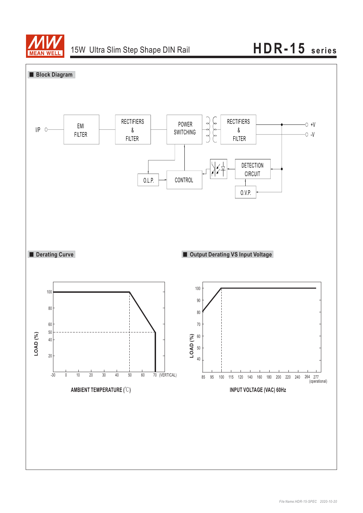